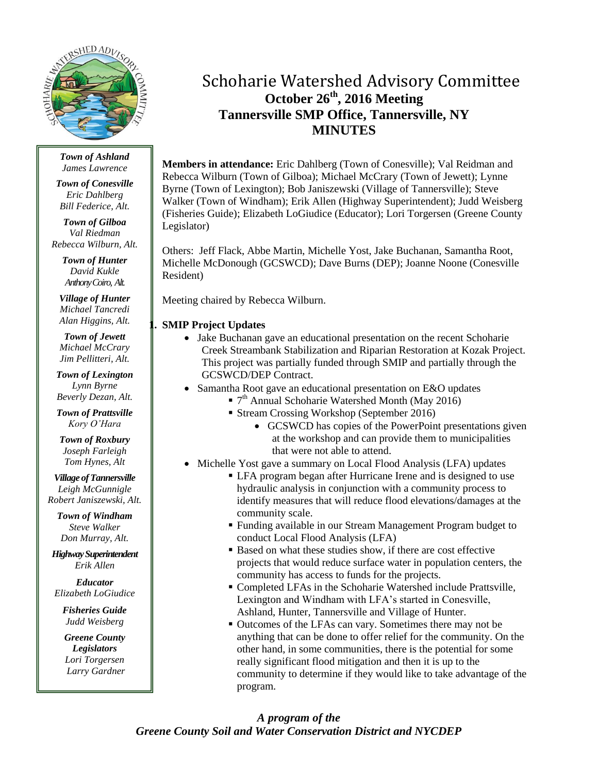

*Town of Ashland James Lawrence*

*Town of Conesville Eric Dahlberg Bill Federice, Alt.*

*Town of Gilboa Val Riedman Rebecca Wilburn, Alt.*

> *Town of Hunter David Kukle Anthony Coiro, Alt.*

*Village of Hunter Michael Tancredi Alan Higgins, Alt.*

*Town of Jewett Michael McCrary Jim Pellitteri, Alt.*

*Town of Lexington Lynn Byrne Beverly Dezan, Alt.*

*Town of Prattsville Kory O'Hara*

*Town of Roxbury Joseph Farleigh Tom Hynes, Alt*

*Village of Tannersville Leigh McGunnigle Robert Janiszewski, Alt.*

*Town of Windham Steve Walker Don Murray, Alt.*

*Highway Superintendent Erik Allen*

*Educator Elizabeth LoGiudice*

*Fisheries Guide Judd Weisberg*

*Greene County Legislators Lori Torgersen Larry Gardner*

# Schoharie Watershed Advisory Committee **October 26th , 2016 Meeting Tannersville SMP Office, Tannersville, NY MINUTES**

**Members in attendance:** Eric Dahlberg (Town of Conesville); Val Reidman and Rebecca Wilburn (Town of Gilboa); Michael McCrary (Town of Jewett); Lynne Byrne (Town of Lexington); Bob Janiszewski (Village of Tannersville); Steve Walker (Town of Windham); Erik Allen (Highway Superintendent); Judd Weisberg (Fisheries Guide); Elizabeth LoGiudice (Educator); Lori Torgersen (Greene County Legislator)

Others: Jeff Flack, Abbe Martin, Michelle Yost, Jake Buchanan, Samantha Root, Michelle McDonough (GCSWCD); Dave Burns (DEP); Joanne Noone (Conesville Resident)

Meeting chaired by Rebecca Wilburn.

## **1. SMIP Project Updates**

- Jake Buchanan gave an educational presentation on the recent Schoharie Creek Streambank Stabilization and Riparian Restoration at Kozak Project. This project was partially funded through SMIP and partially through the GCSWCD/DEP Contract.
- Samantha Root gave an educational presentation on E&O updates
	- T<sup>th</sup> Annual Schoharie Watershed Month (May 2016)
	- Stream Crossing Workshop (September 2016)
		- GCSWCD has copies of the PowerPoint presentations given at the workshop and can provide them to municipalities that were not able to attend.
- Michelle Yost gave a summary on Local Flood Analysis (LFA) updates
	- LFA program began after Hurricane Irene and is designed to use hydraulic analysis in conjunction with a community process to identify measures that will reduce flood elevations/damages at the community scale.
	- Funding available in our Stream Management Program budget to conduct Local Flood Analysis (LFA)
	- Based on what these studies show, if there are cost effective projects that would reduce surface water in population centers, the community has access to funds for the projects.
	- Completed LFAs in the Schoharie Watershed include Prattsville, Lexington and Windham with LFA's started in Conesville, Ashland, Hunter, Tannersville and Village of Hunter.
	- Outcomes of the LFAs can vary. Sometimes there may not be anything that can be done to offer relief for the community. On the other hand, in some communities, there is the potential for some really significant flood mitigation and then it is up to the community to determine if they would like to take advantage of the program.

# *A program of the Greene County Soil and Water Conservation District and NYCDEP*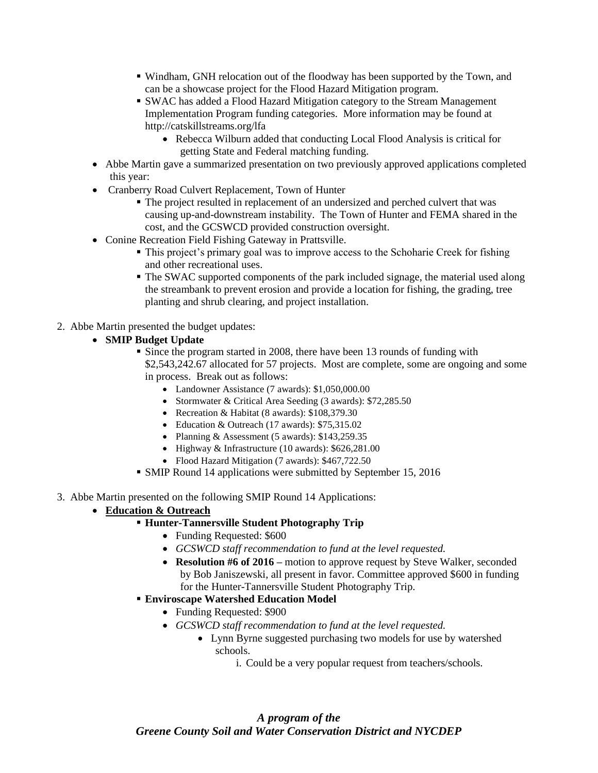- Windham, GNH relocation out of the floodway has been supported by the Town, and can be a showcase project for the Flood Hazard Mitigation program.
- SWAC has added a Flood Hazard Mitigation category to the Stream Management Implementation Program funding categories. More information may be found at http://catskillstreams.org/lfa
	- Rebecca Wilburn added that conducting Local Flood Analysis is critical for getting State and Federal matching funding.
- Abbe Martin gave a summarized presentation on two previously approved applications completed this year:
- Cranberry Road Culvert Replacement, Town of Hunter
	- The project resulted in replacement of an undersized and perched culvert that was causing up-and-downstream instability. The Town of Hunter and FEMA shared in the cost, and the GCSWCD provided construction oversight.
- Conine Recreation Field Fishing Gateway in Prattsville.
	- This project's primary goal was to improve access to the Schoharie Creek for fishing and other recreational uses.
	- The SWAC supported components of the park included signage, the material used along the streambank to prevent erosion and provide a location for fishing, the grading, tree planting and shrub clearing, and project installation.
- 2. Abbe Martin presented the budget updates:
	- **SMIP Budget Update**
		- Since the program started in 2008, there have been 13 rounds of funding with \$2,543,242.67 allocated for 57 projects. Most are complete, some are ongoing and some in process. Break out as follows:
			- Landowner Assistance (7 awards): \$1,050,000.00
			- Stormwater & Critical Area Seeding (3 awards): \$72,285.50
			- Recreation & Habitat (8 awards): \$108,379.30
			- Education & Outreach (17 awards): \$75,315.02
			- Planning & Assessment (5 awards):  $$143,259.35$
			- Highway & Infrastructure (10 awards): \$626,281.00
			- Flood Hazard Mitigation (7 awards): \$467,722.50
		- SMIP Round 14 applications were submitted by September 15, 2016
- 3. Abbe Martin presented on the following SMIP Round 14 Applications:
	- **Education & Outreach**

#### **Hunter-Tannersville Student Photography Trip**

- Funding Requested: \$600
- *GCSWCD staff recommendation to fund at the level requested.*
- **Resolution #6 of 2016 –** motion to approve request by Steve Walker, seconded by Bob Janiszewski, all present in favor. Committee approved \$600 in funding for the Hunter-Tannersville Student Photography Trip.
- **Enviroscape Watershed Education Model**
	- Funding Requested: \$900
	- *GCSWCD staff recommendation to fund at the level requested.*
		- Lynn Byrne suggested purchasing two models for use by watershed schools.
			- i. Could be a very popular request from teachers/schools.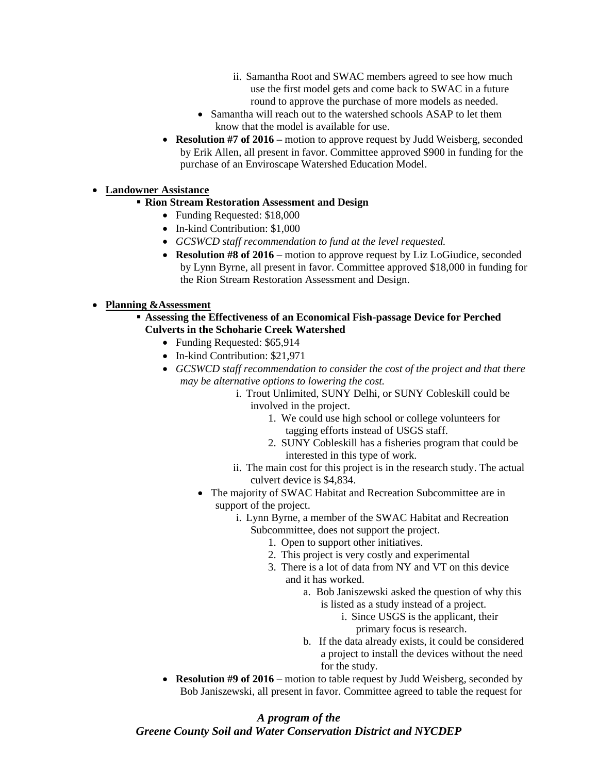- ii. Samantha Root and SWAC members agreed to see how much use the first model gets and come back to SWAC in a future round to approve the purchase of more models as needed.
- Samantha will reach out to the watershed schools ASAP to let them know that the model is available for use.
- **Resolution #7 of 2016 –** motion to approve request by Judd Weisberg, seconded by Erik Allen, all present in favor. Committee approved \$900 in funding for the purchase of an Enviroscape Watershed Education Model.

## **Landowner Assistance**

- **Rion Stream Restoration Assessment and Design**
	- Funding Requested: \$18,000
	- In-kind Contribution: \$1,000
	- *GCSWCD staff recommendation to fund at the level requested.*
	- **Resolution #8 of 2016 –** motion to approve request by Liz LoGiudice, seconded by Lynn Byrne, all present in favor. Committee approved \$18,000 in funding for the Rion Stream Restoration Assessment and Design.

## **Planning &Assessment**

- **Assessing the Effectiveness of an Economical Fish-passage Device for Perched Culverts in the Schoharie Creek Watershed**
	- Funding Requested: \$65,914
	- In-kind Contribution: \$21,971
	- *GCSWCD staff recommendation to consider the cost of the project and that there may be alternative options to lowering the cost.*
		- i. Trout Unlimited, SUNY Delhi, or SUNY Cobleskill could be involved in the project.
			- 1. We could use high school or college volunteers for tagging efforts instead of USGS staff.
			- 2. SUNY Cobleskill has a fisheries program that could be interested in this type of work.
		- ii. The main cost for this project is in the research study. The actual culvert device is \$4,834.
		- The majority of SWAC Habitat and Recreation Subcommittee are in support of the project.
			- i. Lynn Byrne, a member of the SWAC Habitat and Recreation Subcommittee, does not support the project.
				- 1. Open to support other initiatives.
				- 2. This project is very costly and experimental
				- 3. There is a lot of data from NY and VT on this device and it has worked.
					- a. Bob Janiszewski asked the question of why this is listed as a study instead of a project.
						- i. Since USGS is the applicant, their primary focus is research.
					- b. If the data already exists, it could be considered a project to install the devices without the need for the study.
	- **Resolution #9 of 2016** motion to table request by Judd Weisberg, seconded by Bob Janiszewski, all present in favor. Committee agreed to table the request for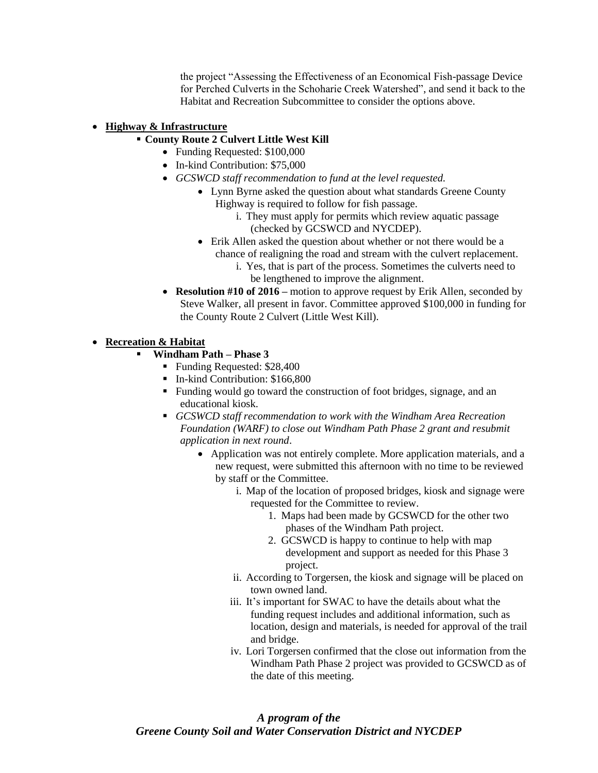the project "Assessing the Effectiveness of an Economical Fish-passage Device for Perched Culverts in the Schoharie Creek Watershed", and send it back to the Habitat and Recreation Subcommittee to consider the options above.

#### **Highway & Infrastructure**

#### **County Route 2 Culvert Little West Kill**

- Funding Requested: \$100,000
- In-kind Contribution: \$75,000
- *GCSWCD staff recommendation to fund at the level requested.*
	- Lynn Byrne asked the question about what standards Greene County Highway is required to follow for fish passage.
		- i. They must apply for permits which review aquatic passage (checked by GCSWCD and NYCDEP).
	- Erik Allen asked the question about whether or not there would be a chance of realigning the road and stream with the culvert replacement.
		- i. Yes, that is part of the process. Sometimes the culverts need to be lengthened to improve the alignment.
- **Resolution #10 of 2016** motion to approve request by Erik Allen, seconded by Steve Walker, all present in favor. Committee approved \$100,000 in funding for the County Route 2 Culvert (Little West Kill).

#### **Recreation & Habitat**

- **Windham Path – Phase 3**
	- Funding Requested: \$28,400
	- In-kind Contribution: \$166,800
	- Funding would go toward the construction of foot bridges, signage, and an educational kiosk.
	- *GCSWCD staff recommendation to work with the Windham Area Recreation Foundation (WARF) to close out Windham Path Phase 2 grant and resubmit application in next round*.
		- Application was not entirely complete. More application materials, and a new request, were submitted this afternoon with no time to be reviewed by staff or the Committee.
			- i. Map of the location of proposed bridges, kiosk and signage were requested for the Committee to review.
				- 1. Maps had been made by GCSWCD for the other two phases of the Windham Path project.
				- 2. GCSWCD is happy to continue to help with map development and support as needed for this Phase 3 project.
			- ii. According to Torgersen, the kiosk and signage will be placed on town owned land.
			- iii. It's important for SWAC to have the details about what the funding request includes and additional information, such as location, design and materials, is needed for approval of the trail and bridge.
			- iv. Lori Torgersen confirmed that the close out information from the Windham Path Phase 2 project was provided to GCSWCD as of the date of this meeting.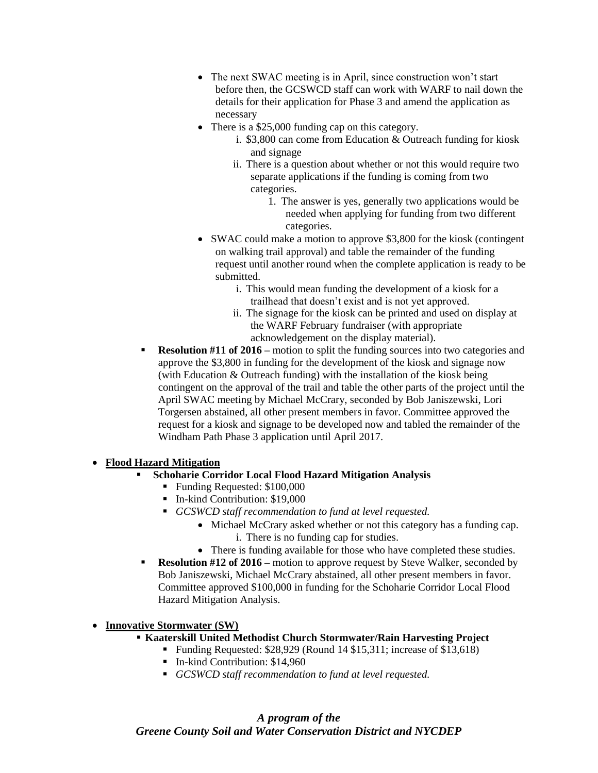- The next SWAC meeting is in April, since construction won't start before then, the GCSWCD staff can work with WARF to nail down the details for their application for Phase 3 and amend the application as necessary
- There is a \$25,000 funding cap on this category.
	- i. \$3,800 can come from Education & Outreach funding for kiosk and signage
	- ii. There is a question about whether or not this would require two separate applications if the funding is coming from two categories.
		- 1. The answer is yes, generally two applications would be needed when applying for funding from two different categories.
- SWAC could make a motion to approve \$3,800 for the kiosk (contingent on walking trail approval) and table the remainder of the funding request until another round when the complete application is ready to be submitted.
	- i. This would mean funding the development of a kiosk for a trailhead that doesn't exist and is not yet approved.
	- ii. The signage for the kiosk can be printed and used on display at the WARF February fundraiser (with appropriate acknowledgement on the display material).
- **Resolution #11 of 2016** motion to split the funding sources into two categories and approve the \$3,800 in funding for the development of the kiosk and signage now (with Education & Outreach funding) with the installation of the kiosk being contingent on the approval of the trail and table the other parts of the project until the April SWAC meeting by Michael McCrary, seconded by Bob Janiszewski, Lori Torgersen abstained, all other present members in favor. Committee approved the request for a kiosk and signage to be developed now and tabled the remainder of the Windham Path Phase 3 application until April 2017.

#### **Flood Hazard Mitigation**

- **Schoharie Corridor Local Flood Hazard Mitigation Analysis**
	- Funding Requested: \$100,000
	- In-kind Contribution: \$19,000
	- *GCSWCD staff recommendation to fund at level requested.*
		- Michael McCrary asked whether or not this category has a funding cap. i. There is no funding cap for studies.
		- There is funding available for those who have completed these studies.
- **Resolution #12 of 2016** motion to approve request by Steve Walker, seconded by Bob Janiszewski, Michael McCrary abstained, all other present members in favor. Committee approved \$100,000 in funding for the Schoharie Corridor Local Flood Hazard Mitigation Analysis.

#### **Innovative Stormwater (SW)**

- **Kaaterskill United Methodist Church Stormwater/Rain Harvesting Project**
	- Funding Requested: \$28,929 (Round 14 \$15,311; increase of \$13,618)
	- In-kind Contribution: \$14,960
	- *GCSWCD staff recommendation to fund at level requested.*